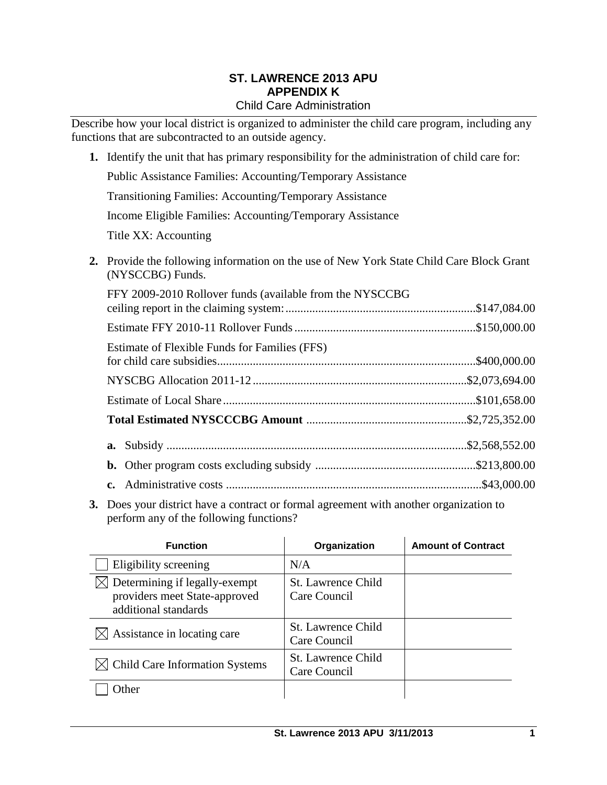#### **ST. LAWRENCE 2013 APU APPENDIX K** Child Care Administration

Describe how your local district is organized to administer the child care program, including any functions that are subcontracted to an outside agency.

- **1.** Identify the unit that has primary responsibility for the administration of child care for: Public Assistance Families: Accounting/Temporary Assistance Transitioning Families: Accounting/Temporary Assistance Income Eligible Families: Accounting/Temporary Assistance Title XX: Accounting **2.** Provide the following information on the use of New York State Child Care Block Grant (NYSCCBG) Funds. FFY 2009-2010 Rollover funds (available from the NYSCCBG ceiling report in the claiming system:................................................................\$147,084.00 Estimate FFY 2010-11 Rollover Funds.............................................................\$150,000.00 Estimate of Flexible Funds for Families (FFS) for child care subsidies.......................................................................................\$400,000.00
	- NYSCBG Allocation 2011-12 ........................................................................\$2,073,694.00 Estimate of Local Share .....................................................................................\$101,658.00 **Total Estimated NYSCCCBG Amount** ......................................................\$2,725,352.00 **a.** Subsidy .....................................................................................................\$2,568,552.00 **b.** Other program costs excluding subsidy ......................................................\$213,800.00 **c.** Administrative costs ......................................................................................\$43,000.00
- **3.** Does your district have a contract or formal agreement with another organization to perform any of the following functions?

| <b>Function</b>                                                                        | Organization                              | <b>Amount of Contract</b> |
|----------------------------------------------------------------------------------------|-------------------------------------------|---------------------------|
| Eligibility screening                                                                  | N/A                                       |                           |
| Determining if legally-exempt<br>providers meet State-approved<br>additional standards | <b>St. Lawrence Child</b><br>Care Council |                           |
| Assistance in locating care                                                            | St. Lawrence Child<br>Care Council        |                           |
| <b>Child Care Information Systems</b>                                                  | <b>St. Lawrence Child</b><br>Care Council |                           |
| <b>I</b> ther                                                                          |                                           |                           |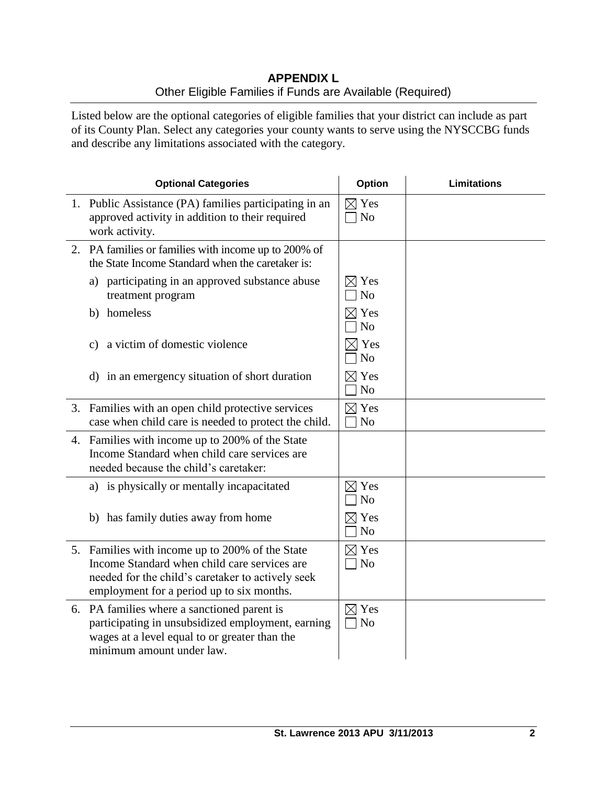# **APPENDIX L** Other Eligible Families if Funds are Available (Required)

Listed below are the optional categories of eligible families that your district can include as part of its County Plan. Select any categories your county wants to serve using the NYSCCBG funds and describe any limitations associated with the category.

| <b>Optional Categories</b>                                                                                                                                                                        | <b>Option</b>                     | <b>Limitations</b> |
|---------------------------------------------------------------------------------------------------------------------------------------------------------------------------------------------------|-----------------------------------|--------------------|
| 1. Public Assistance (PA) families participating in an<br>approved activity in addition to their required<br>work activity.                                                                       | $\boxtimes$ Yes<br>N <sub>o</sub> |                    |
| 2. PA families or families with income up to 200% of<br>the State Income Standard when the caretaker is:                                                                                          |                                   |                    |
| a) participating in an approved substance abuse<br>treatment program                                                                                                                              | $\times$ Yes<br>N <sub>o</sub>    |                    |
| b) homeless                                                                                                                                                                                       | $\boxtimes$ Yes<br>N <sub>o</sub> |                    |
| a victim of domestic violence<br>$\mathbf{c})$                                                                                                                                                    | $\times$ Yes<br>N <sub>o</sub>    |                    |
| d) in an emergency situation of short duration                                                                                                                                                    | $\boxtimes$ Yes<br>N <sub>o</sub> |                    |
| 3. Families with an open child protective services<br>case when child care is needed to protect the child.                                                                                        | $\boxtimes$ Yes<br>N <sub>o</sub> |                    |
| 4. Families with income up to 200% of the State<br>Income Standard when child care services are<br>needed because the child's caretaker:                                                          |                                   |                    |
| a) is physically or mentally incapacitated                                                                                                                                                        | $\boxtimes$ Yes<br>N <sub>o</sub> |                    |
| b) has family duties away from home                                                                                                                                                               | $\boxtimes$ Yes<br>N <sub>o</sub> |                    |
| 5. Families with income up to 200% of the State<br>Income Standard when child care services are<br>needed for the child's caretaker to actively seek<br>employment for a period up to six months. | $\boxtimes$ Yes<br>$\neg$ No      |                    |
| 6. PA families where a sanctioned parent is<br>participating in unsubsidized employment, earning<br>wages at a level equal to or greater than the<br>minimum amount under law.                    | $\boxtimes$ Yes<br>N <sub>o</sub> |                    |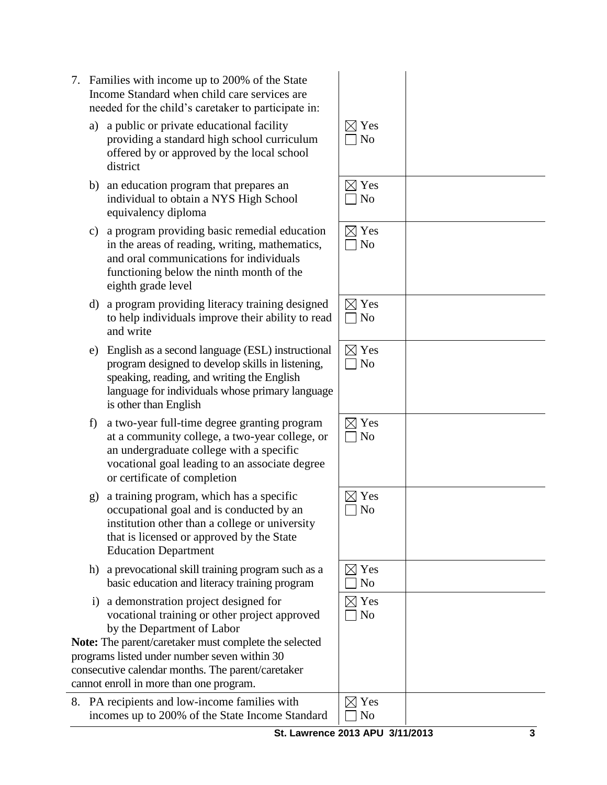| St. Lawrence 2013 APU 3/11/2013 |  |
|---------------------------------|--|
|                                 |  |

- 7. Families with income up to 200% of the State Income Standard when child care services are needed for the child's caretaker to participate in:
	- a) a public or private educational facility providing a standard high school curriculum offered by or approved by the local school district
	- b) an education program that prepares an individual to obtain a NYS High School equivalency diploma
	- c) a program providing basic remedial education in the areas of reading, writing, mathematics, and oral communications for individuals functioning below the ninth month of the eighth grade level
	- d) a program providing literacy training designed to help individuals improve their ability to read and write
	- e) English as a second language (ESL) instructional program designed to develop skills in listening, speaking, reading, and writing the English language for individuals whose primary language is other than English
	- f) a two-year full-time degree granting program at a community college, a two-year college, or an undergraduate college with a specific vocational goal leading to an associate degree or certificate of completion
	- g) a training program, which has a specific occupational goal and is conducted by an institution other than a college or university that is licensed or approved by the State Education Department
	- h) a prevocational skill training program such as a basic education and literacy training program
	- i) a demonstration project designed for vocational training or other project approved by the Department of Labor

**Note:** The parent/caretaker must complete the selected programs listed under number seven within 30 consecutive calendar months. The parent/caretaker cannot enroll in more than one program.

8. PA recipients and low-income families with incomes up to 200% of the State Income Standard

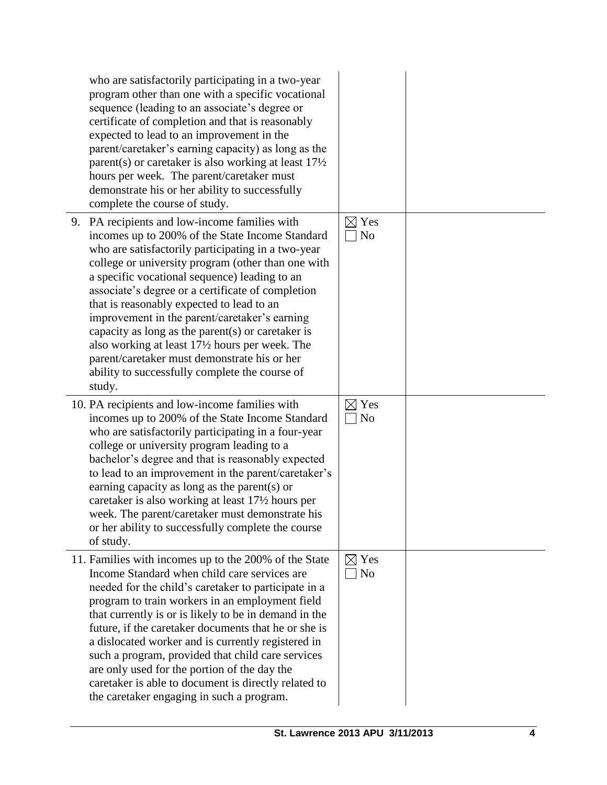| who are satisfactorily participating in a two-year<br>program other than one with a specific vocational<br>sequence (leading to an associate's degree or<br>certificate of completion and that is reasonably<br>expected to lead to an improvement in the<br>parent/caretaker's earning capacity) as long as the<br>parent(s) or caretaker is also working at least $17\frac{1}{2}$<br>hours per week. The parent/caretaker must<br>demonstrate his or her ability to successfully<br>complete the course of study.                                                                                                                |                                   |  |
|------------------------------------------------------------------------------------------------------------------------------------------------------------------------------------------------------------------------------------------------------------------------------------------------------------------------------------------------------------------------------------------------------------------------------------------------------------------------------------------------------------------------------------------------------------------------------------------------------------------------------------|-----------------------------------|--|
| 9. PA recipients and low-income families with<br>incomes up to 200% of the State Income Standard<br>who are satisfactorily participating in a two-year<br>college or university program (other than one with<br>a specific vocational sequence) leading to an<br>associate's degree or a certificate of completion<br>that is reasonably expected to lead to an<br>improvement in the parent/caretaker's earning<br>capacity as long as the parent(s) or caretaker is<br>also working at least 17½ hours per week. The<br>parent/caretaker must demonstrate his or her<br>ability to successfully complete the course of<br>study. | $\boxtimes$ Yes<br>No             |  |
| 10. PA recipients and low-income families with<br>incomes up to 200% of the State Income Standard<br>who are satisfactorily participating in a four-year<br>college or university program leading to a<br>bachelor's degree and that is reasonably expected<br>to lead to an improvement in the parent/caretaker's<br>earning capacity as long as the parent(s) or<br>caretaker is also working at least 17½ hours per<br>week. The parent/caretaker must demonstrate his<br>or her ability to successfully complete the course<br>of study.                                                                                       | $\boxtimes$ Yes<br>N <sub>o</sub> |  |
| 11. Families with incomes up to the 200% of the State<br>Income Standard when child care services are<br>needed for the child's caretaker to participate in a<br>program to train workers in an employment field<br>that currently is or is likely to be in demand in the<br>future, if the caretaker documents that he or she is<br>a dislocated worker and is currently registered in<br>such a program, provided that child care services<br>are only used for the portion of the day the<br>caretaker is able to document is directly related to<br>the caretaker engaging in such a program.                                  | $\boxtimes$ Yes<br>$\exists$ No   |  |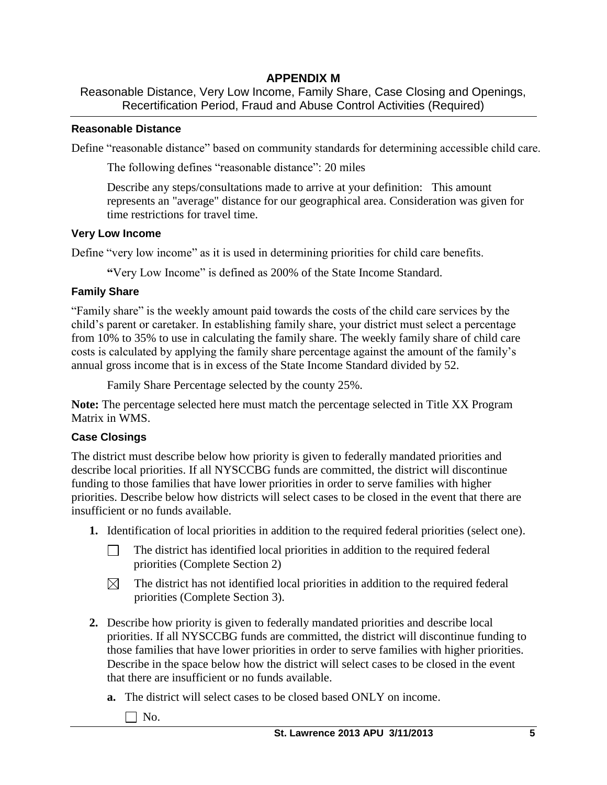# **APPENDIX M**

Reasonable Distance, Very Low Income, Family Share, Case Closing and Openings, Recertification Period, Fraud and Abuse Control Activities (Required)

## **Reasonable Distance**

Define "reasonable distance" based on community standards for determining accessible child care.

The following defines "reasonable distance": 20 miles

Describe any steps/consultations made to arrive at your definition: This amount represents an "average" distance for our geographical area. Consideration was given for time restrictions for travel time.

## **Very Low Income**

Define "very low income" as it is used in determining priorities for child care benefits.

**"**Very Low Income" is defined as 200% of the State Income Standard.

# **Family Share**

"Family share" is the weekly amount paid towards the costs of the child care services by the child's parent or caretaker. In establishing family share, your district must select a percentage from 10% to 35% to use in calculating the family share. The weekly family share of child care costs is calculated by applying the family share percentage against the amount of the family's annual gross income that is in excess of the State Income Standard divided by 52.

Family Share Percentage selected by the county 25%.

**Note:** The percentage selected here must match the percentage selected in Title XX Program Matrix in WMS.

# **Case Closings**

The district must describe below how priority is given to federally mandated priorities and describe local priorities. If all NYSCCBG funds are committed, the district will discontinue funding to those families that have lower priorities in order to serve families with higher priorities. Describe below how districts will select cases to be closed in the event that there are insufficient or no funds available.

- **1.** Identification of local priorities in addition to the required federal priorities (select one).
	- The district has identified local priorities in addition to the required federal  $\Box$ priorities (Complete Section 2)
	- The district has not identified local priorities in addition to the required federal  $\boxtimes$ priorities (Complete Section 3).
- **2.** Describe how priority is given to federally mandated priorities and describe local priorities. If all NYSCCBG funds are committed, the district will discontinue funding to those families that have lower priorities in order to serve families with higher priorities. Describe in the space below how the district will select cases to be closed in the event that there are insufficient or no funds available.
	- **a.** The district will select cases to be closed based ONLY on income.
		- $\Box$  No.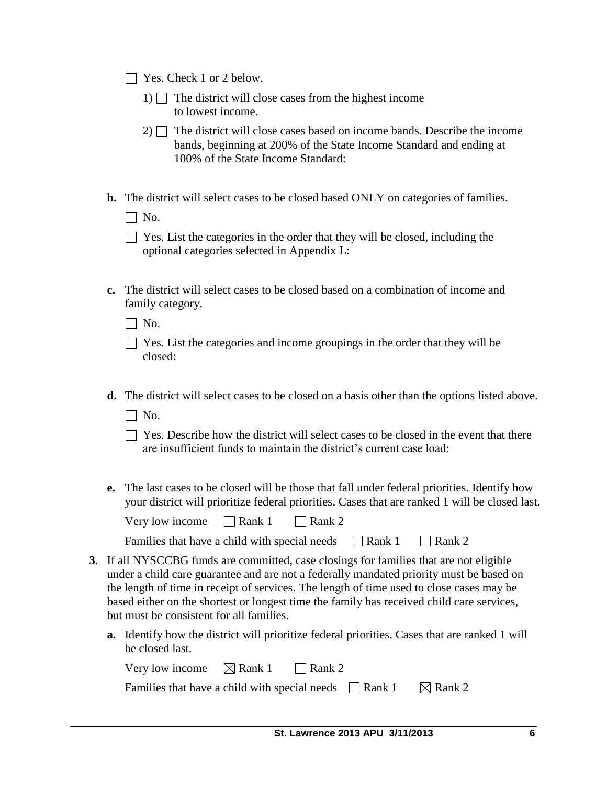□ Yes. Check 1 or 2 below.

- 1)  $\Box$  The district will close cases from the highest income to lowest income.
- $2)$  The district will close cases based on income bands. Describe the income bands, beginning at 200% of the State Income Standard and ending at 100% of the State Income Standard:
- **b.** The district will select cases to be closed based ONLY on categories of families.

 $\Box$  No.

| Yes. List the categories in the order that they will be closed, including the |  |
|-------------------------------------------------------------------------------|--|
| optional categories selected in Appendix L:                                   |  |

**c.** The district will select cases to be closed based on a combination of income and family category.

 $\Box$  No.

| $\Box$ Yes. List the categories and income groupings in the order that they will be |  |  |  |  |
|-------------------------------------------------------------------------------------|--|--|--|--|
| closed:                                                                             |  |  |  |  |

**d.** The district will select cases to be closed on a basis other than the options listed above.

 $\Box$  No.

- $\Box$  Yes. Describe how the district will select cases to be closed in the event that there are insufficient funds to maintain the district's current case load:
- **e.** The last cases to be closed will be those that fall under federal priorities. Identify how your district will prioritize federal priorities. Cases that are ranked 1 will be closed last.

| Very low income | $\Box$ Rank 1 | $\Box$ Rank 2 |
|-----------------|---------------|---------------|
|-----------------|---------------|---------------|

|  |  | Families that have a child with special needs | $\Box$ Rank 1 | $\Box$ Rank 2 |
|--|--|-----------------------------------------------|---------------|---------------|
|--|--|-----------------------------------------------|---------------|---------------|

- **3.** If all NYSCCBG funds are committed, case closings for families that are not eligible under a child care guarantee and are not a federally mandated priority must be based on the length of time in receipt of services. The length of time used to close cases may be based either on the shortest or longest time the family has received child care services, but must be consistent for all families.
	- **a.** Identify how the district will prioritize federal priorities. Cases that are ranked 1 will be closed last.

| Very low income                                             | $\boxtimes$ Rank 1 $\Box$ Rank 2 |  |                    |
|-------------------------------------------------------------|----------------------------------|--|--------------------|
| Families that have a child with special needs $\Box$ Rank 1 |                                  |  | $\boxtimes$ Rank 2 |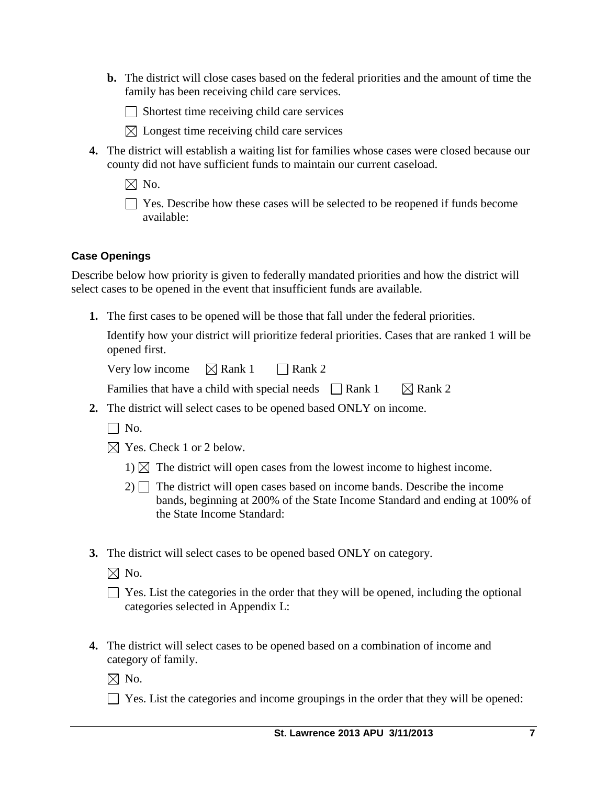**b.** The district will close cases based on the federal priorities and the amount of time the family has been receiving child care services.

 $\Box$  Shortest time receiving child care services

- $\boxtimes$  Longest time receiving child care services
- **4.** The district will establish a waiting list for families whose cases were closed because our county did not have sufficient funds to maintain our current caseload.
	- $\boxtimes$  No.

 $\Box$  Yes. Describe how these cases will be selected to be reopened if funds become available:

## **Case Openings**

Describe below how priority is given to federally mandated priorities and how the district will select cases to be opened in the event that insufficient funds are available.

**1.** The first cases to be opened will be those that fall under the federal priorities.

Identify how your district will prioritize federal priorities. Cases that are ranked 1 will be opened first.

Very low income  $\boxtimes$  Rank 1  $\Box$  Rank 2

| Families that have a child with special needs $\Box$ Rank 1 |  | $\boxtimes$ Rank 2 |
|-------------------------------------------------------------|--|--------------------|
|-------------------------------------------------------------|--|--------------------|

- **2.** The district will select cases to be opened based ONLY on income.
	- $\Box$  No.
	- $\boxtimes$  Yes. Check 1 or 2 below.
		- 1)  $\boxtimes$  The district will open cases from the lowest income to highest income.
		- $2)$  The district will open cases based on income bands. Describe the income bands, beginning at 200% of the State Income Standard and ending at 100% of the State Income Standard:
- **3.** The district will select cases to be opened based ONLY on category.

 $\boxtimes$  No.

| $\Box$ Yes. List the categories in the order that they will be opened, including the optional |
|-----------------------------------------------------------------------------------------------|
| categories selected in Appendix L:                                                            |

**4.** The district will select cases to be opened based on a combination of income and category of family.

 $\boxtimes$  No.

 $\Box$  Yes. List the categories and income groupings in the order that they will be opened: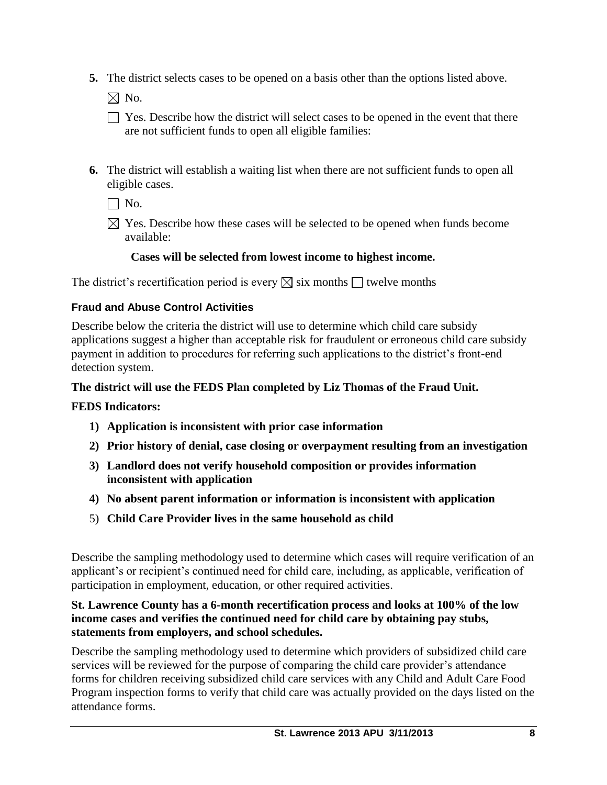**5.** The district selects cases to be opened on a basis other than the options listed above.

 $\boxtimes$  No.

- $\Box$  Yes. Describe how the district will select cases to be opened in the event that there are not sufficient funds to open all eligible families:
- **6.** The district will establish a waiting list when there are not sufficient funds to open all eligible cases.

 $\Box$  No.

 $\boxtimes$  Yes. Describe how these cases will be selected to be opened when funds become available:

# **Cases will be selected from lowest income to highest income.**

The district's recertification period is every  $\boxtimes$  six months  $\Box$  twelve months

## **Fraud and Abuse Control Activities**

Describe below the criteria the district will use to determine which child care subsidy applications suggest a higher than acceptable risk for fraudulent or erroneous child care subsidy payment in addition to procedures for referring such applications to the district's front-end detection system.

## **The district will use the FEDS Plan completed by Liz Thomas of the Fraud Unit.**

## **FEDS Indicators:**

- **1) Application is inconsistent with prior case information**
- **2) Prior history of denial, case closing or overpayment resulting from an investigation**
- **3) Landlord does not verify household composition or provides information inconsistent with application**
- **4) No absent parent information or information is inconsistent with application**
- 5) **Child Care Provider lives in the same household as child**

Describe the sampling methodology used to determine which cases will require verification of an applicant's or recipient's continued need for child care, including, as applicable, verification of participation in employment, education, or other required activities.

## **St. Lawrence County has a 6-month recertification process and looks at 100% of the low income cases and verifies the continued need for child care by obtaining pay stubs, statements from employers, and school schedules.**

Describe the sampling methodology used to determine which providers of subsidized child care services will be reviewed for the purpose of comparing the child care provider's attendance forms for children receiving subsidized child care services with any Child and Adult Care Food Program inspection forms to verify that child care was actually provided on the days listed on the attendance forms.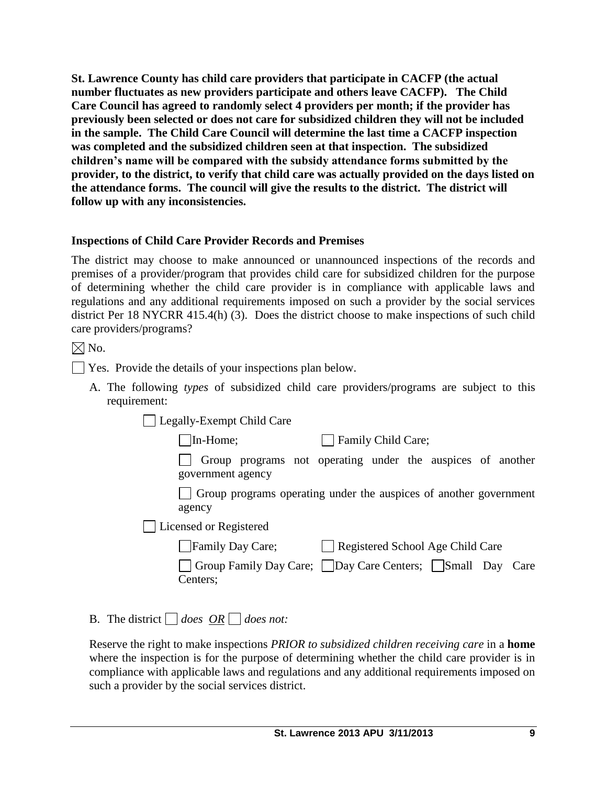**St. Lawrence County has child care providers that participate in CACFP (the actual number fluctuates as new providers participate and others leave CACFP). The Child Care Council has agreed to randomly select 4 providers per month; if the provider has previously been selected or does not care for subsidized children they will not be included in the sample. The Child Care Council will determine the last time a CACFP inspection was completed and the subsidized children seen at that inspection. The subsidized children's name will be compared with the subsidy attendance forms submitted by the provider, to the district, to verify that child care was actually provided on the days listed on the attendance forms. The council will give the results to the district. The district will follow up with any inconsistencies.**

## **Inspections of Child Care Provider Records and Premises**

The district may choose to make announced or unannounced inspections of the records and premises of a provider/program that provides child care for subsidized children for the purpose of determining whether the child care provider is in compliance with applicable laws and regulations and any additional requirements imposed on such a provider by the social services district Per 18 NYCRR 415.4(h) (3). Does the district choose to make inspections of such child care providers/programs?

 $\boxtimes$  No.

Yes. Provide the details of your inspections plan below.

A. The following *types* of subsidized child care providers/programs are subject to this requirement:

| Legally-Exempt Child Care |  |  |  |  |
|---------------------------|--|--|--|--|
|---------------------------|--|--|--|--|

In-Home; Family Child Care;

Group programs not operating under the auspices of another government agency

Group programs operating under the auspices of another government agency

Licensed or Registered

| Family Day Care; |  | Registered School Age Child Care |
|------------------|--|----------------------------------|
|------------------|--|----------------------------------|

| Group Family Day Care; Day Care Centers; Small Day Care |  |  |
|---------------------------------------------------------|--|--|
| Centers;                                                |  |  |

B. The district  $\Box$  does  $\overline{OR} \Box$  does not:

Reserve the right to make inspections *PRIOR to subsidized children receiving care* in a **home** where the inspection is for the purpose of determining whether the child care provider is in compliance with applicable laws and regulations and any additional requirements imposed on such a provider by the social services district.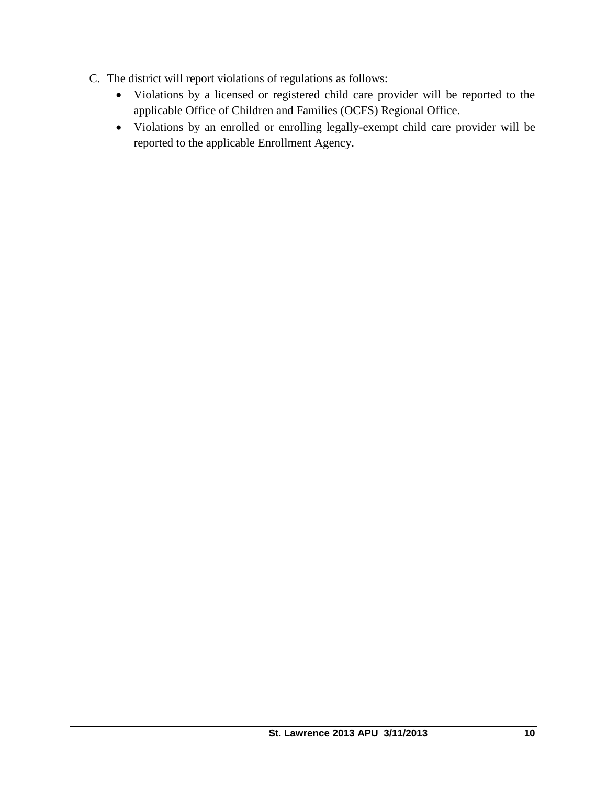- C. The district will report violations of regulations as follows:
	- Violations by a licensed or registered child care provider will be reported to the applicable Office of Children and Families (OCFS) Regional Office.
	- Violations by an enrolled or enrolling legally-exempt child care provider will be reported to the applicable Enrollment Agency.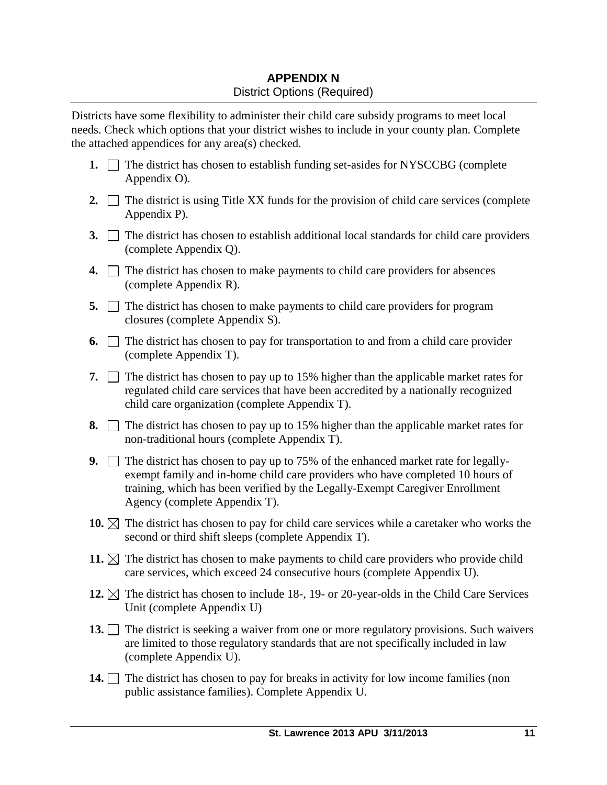# **APPENDIX N** District Options (Required)

Districts have some flexibility to administer their child care subsidy programs to meet local needs. Check which options that your district wishes to include in your county plan. Complete the attached appendices for any area(s) checked.

- **1.**  $\Box$  The district has chosen to establish funding set-asides for NYSCCBG (complete Appendix O).
- **2.**  $\Box$  The district is using Title XX funds for the provision of child care services (complete Appendix P).
- **3.** The district has chosen to establish additional local standards for child care providers (complete Appendix Q).
- **4.**  $\Box$  The district has chosen to make payments to child care providers for absences (complete Appendix R).
- **5.** The district has chosen to make payments to child care providers for program closures (complete Appendix S).
- **6.**  $\Box$  The district has chosen to pay for transportation to and from a child care provider (complete Appendix T).
- **7.**  $\Box$  The district has chosen to pay up to 15% higher than the applicable market rates for regulated child care services that have been accredited by a nationally recognized child care organization (complete Appendix T).
- **8.**  $\Box$  The district has chosen to pay up to 15% higher than the applicable market rates for non-traditional hours (complete Appendix T).
- **9.** The district has chosen to pay up to 75% of the enhanced market rate for legallyexempt family and in-home child care providers who have completed 10 hours of training, which has been verified by the Legally-Exempt Caregiver Enrollment Agency (complete Appendix T).
- **10.**  $\boxtimes$  The district has chosen to pay for child care services while a caretaker who works the second or third shift sleeps (complete Appendix T).
- **11.**  $\boxtimes$  The district has chosen to make payments to child care providers who provide child care services, which exceed 24 consecutive hours (complete Appendix U).
- **12.**  $\boxtimes$  The district has chosen to include 18-, 19- or 20-year-olds in the Child Care Services Unit (complete Appendix U)
- **13.** The district is seeking a waiver from one or more regulatory provisions. Such waivers are limited to those regulatory standards that are not specifically included in law (complete Appendix U).
- **14.** The district has chosen to pay for breaks in activity for low income families (non public assistance families). Complete Appendix U.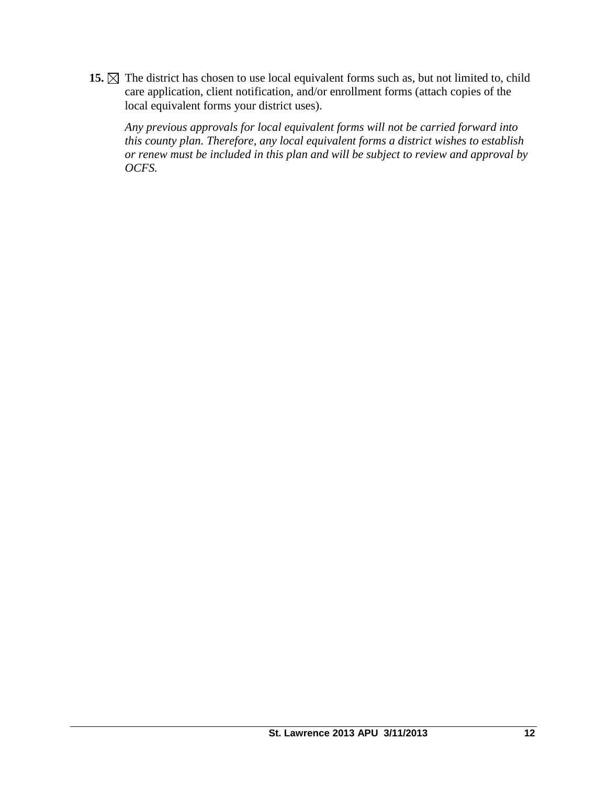15.  $\boxtimes$  The district has chosen to use local equivalent forms such as, but not limited to, child care application, client notification, and/or enrollment forms (attach copies of the local equivalent forms your district uses).

*Any previous approvals for local equivalent forms will not be carried forward into this county plan. Therefore, any local equivalent forms a district wishes to establish or renew must be included in this plan and will be subject to review and approval by OCFS.*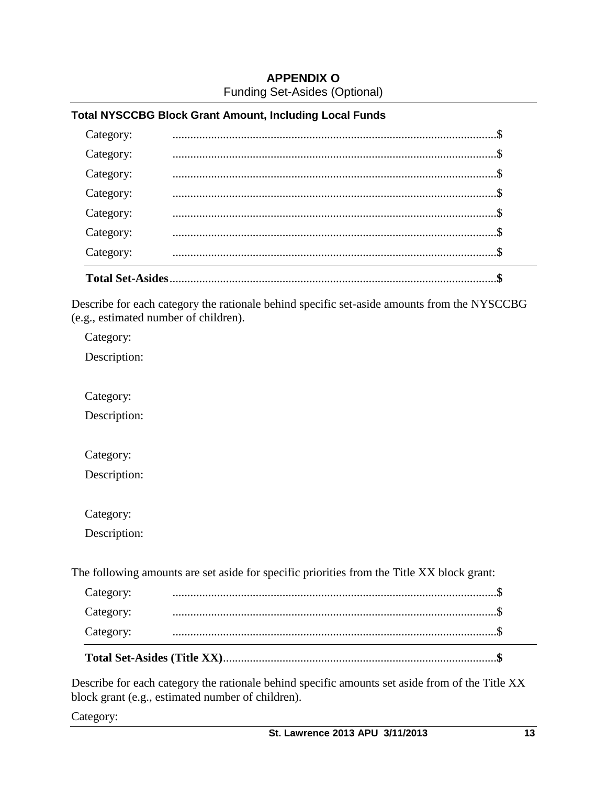## **APPENDIX O** Funding Set-Asides (Optional)

### **Total NYSCCBG Block Grant Amount, Including Local Funds**

| <b>Total Set-Asides</b> |  |  |
|-------------------------|--|--|
| Category:               |  |  |
| Category:               |  |  |
| Category:               |  |  |
| Category:               |  |  |
| Category:               |  |  |
| Category:               |  |  |
| Category:               |  |  |
|                         |  |  |

Describe for each category the rationale behind specific set-aside amounts from the NYSCCBG (e.g., estimated number of children).

Category:

Description:

Category:

Description:

Category:

Description:

Category:

Description:

The following amounts are set aside for specific priorities from the Title XX block grant:

| Category: |  |
|-----------|--|
| Category: |  |
| Category: |  |

Describe for each category the rationale behind specific amounts set aside from of the Title XX block grant (e.g., estimated number of children).

Category: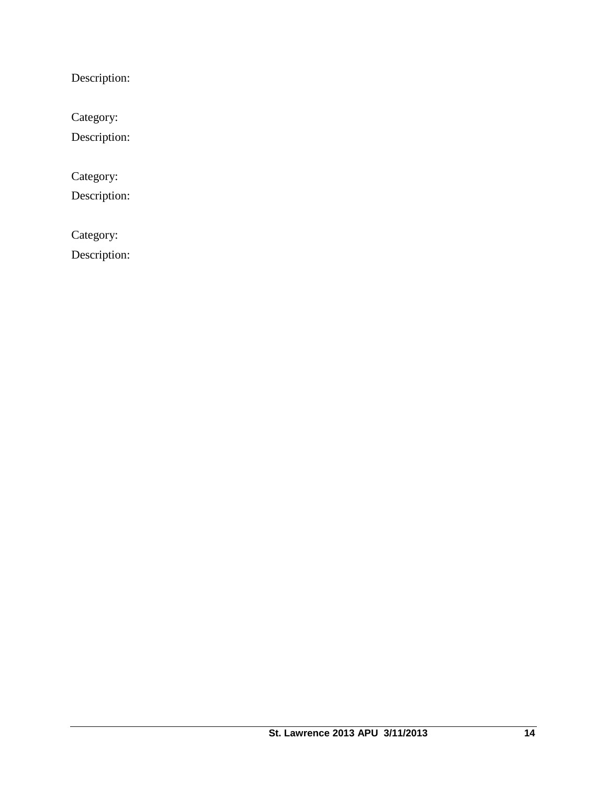Description:

Category:

Description:

Category:

Description:

Category:

Description: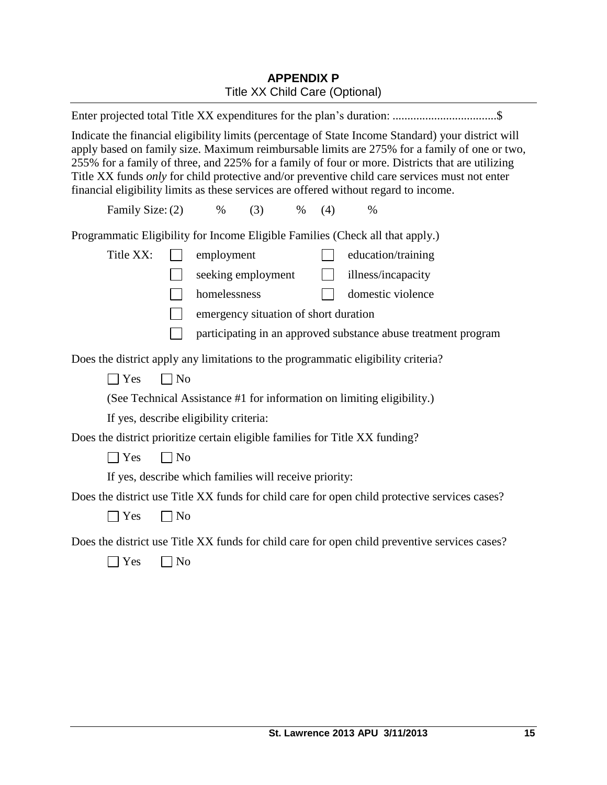# **APPENDIX P** Title XX Child Care (Optional)

| Indicate the financial eligibility limits (percentage of State Income Standard) your district will<br>apply based on family size. Maximum reimbursable limits are 275% for a family of one or two,<br>255% for a family of three, and 225% for a family of four or more. Districts that are utilizing<br>Title XX funds only for child protective and/or preventive child care services must not enter<br>financial eligibility limits as these services are offered without regard to income. |                |                    |  |  |  |
|------------------------------------------------------------------------------------------------------------------------------------------------------------------------------------------------------------------------------------------------------------------------------------------------------------------------------------------------------------------------------------------------------------------------------------------------------------------------------------------------|----------------|--------------------|--|--|--|
| Family Size: (2)<br>$\%$<br>(3)<br>$\%$                                                                                                                                                                                                                                                                                                                                                                                                                                                        | (4)            | $\%$               |  |  |  |
| Programmatic Eligibility for Income Eligible Families (Check all that apply.)                                                                                                                                                                                                                                                                                                                                                                                                                  |                |                    |  |  |  |
| Title XX:<br>employment                                                                                                                                                                                                                                                                                                                                                                                                                                                                        |                | education/training |  |  |  |
| seeking employment                                                                                                                                                                                                                                                                                                                                                                                                                                                                             | $\mathbb{R}^n$ | illness/incapacity |  |  |  |
| homelessness                                                                                                                                                                                                                                                                                                                                                                                                                                                                                   |                | domestic violence  |  |  |  |
| emergency situation of short duration                                                                                                                                                                                                                                                                                                                                                                                                                                                          |                |                    |  |  |  |
| participating in an approved substance abuse treatment program                                                                                                                                                                                                                                                                                                                                                                                                                                 |                |                    |  |  |  |
| Does the district apply any limitations to the programmatic eligibility criteria?                                                                                                                                                                                                                                                                                                                                                                                                              |                |                    |  |  |  |
| $\Box$ No<br>$\exists$ Yes                                                                                                                                                                                                                                                                                                                                                                                                                                                                     |                |                    |  |  |  |
| (See Technical Assistance #1 for information on limiting eligibility.)                                                                                                                                                                                                                                                                                                                                                                                                                         |                |                    |  |  |  |
| If yes, describe eligibility criteria:                                                                                                                                                                                                                                                                                                                                                                                                                                                         |                |                    |  |  |  |
| Does the district prioritize certain eligible families for Title XX funding?                                                                                                                                                                                                                                                                                                                                                                                                                   |                |                    |  |  |  |
| $\exists$ Yes<br>$\Box$ No                                                                                                                                                                                                                                                                                                                                                                                                                                                                     |                |                    |  |  |  |
| If yes, describe which families will receive priority:                                                                                                                                                                                                                                                                                                                                                                                                                                         |                |                    |  |  |  |
| Does the district use Title XX funds for child care for open child protective services cases?                                                                                                                                                                                                                                                                                                                                                                                                  |                |                    |  |  |  |
| $\exists$ Yes<br>$\Box$ No                                                                                                                                                                                                                                                                                                                                                                                                                                                                     |                |                    |  |  |  |
| Does the district use Title XX funds for child care for open child preventive services cases?<br>No<br>Yes                                                                                                                                                                                                                                                                                                                                                                                     |                |                    |  |  |  |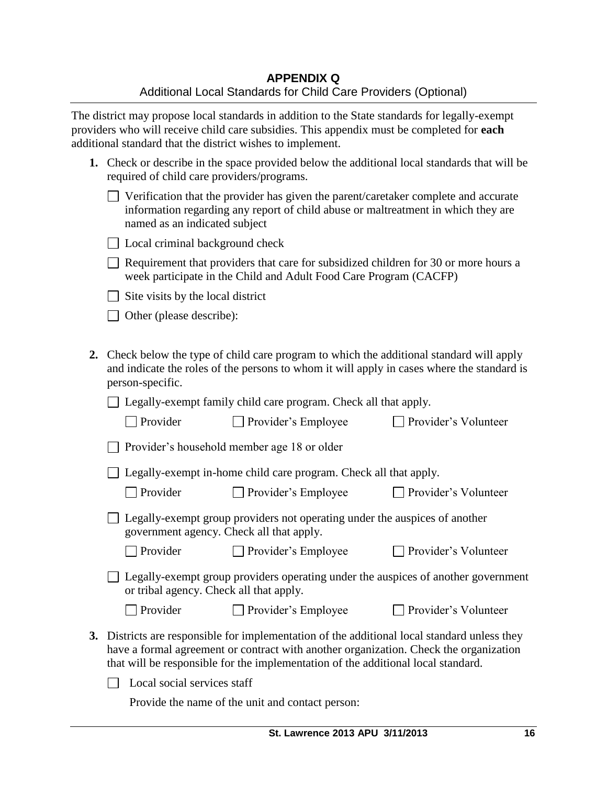The district may propose local standards in addition to the State standards for legally-exempt providers who will receive child care subsidies. This appendix must be completed for **each** additional standard that the district wishes to implement.

| 1. Check or describe in the space provided below the additional local standards that will be |
|----------------------------------------------------------------------------------------------|
| required of child care providers/programs.                                                   |

| $\Box$ Verification that the provider has given the parent/caretaker complete and accurate |
|--------------------------------------------------------------------------------------------|
| information regarding any report of child abuse or maltreatment in which they are          |
| named as an indicated subject                                                              |

|  |  | □ Local criminal background check |  |
|--|--|-----------------------------------|--|
|  |  |                                   |  |

 $\Box$  Requirement that providers that care for subsidized children for 30 or more hours a week participate in the Child and Adult Food Care Program (CACFP)

 $\Box$  Site visits by the local district

□ Other (please describe):

**2.** Check below the type of child care program to which the additional standard will apply and indicate the roles of the persons to whom it will apply in cases where the standard is person-specific.

□ Legally-exempt family child care program. Check all that apply.

| $\Box$ Provider | $\Box$ Provider's Employee | □ Provider's Volunteer |
|-----------------|----------------------------|------------------------|
|                 |                            |                        |

| $\Box$ Provider's household member age 18 or older |  |
|----------------------------------------------------|--|
|----------------------------------------------------|--|

□ Legally-exempt in-home child care program. Check all that apply.

 $\Box$  Provider's Volunteer

 $\Box$  Provider's Volunteer

| $\Box$ Legally-exempt group providers not operating under the auspices of another |  |
|-----------------------------------------------------------------------------------|--|
| government agency. Check all that apply.                                          |  |

□ Provider Provider's Employee Provider's Volunteer

□ Legally-exempt group providers operating under the auspices of another government or tribal agency. Check all that apply.

| $\Box$ Provider | $\Box$ Provider's Employee |
|-----------------|----------------------------|
|                 |                            |

**3.** Districts are responsible for implementation of the additional local standard unless they have a formal agreement or contract with another organization. Check the organization that will be responsible for the implementation of the additional local standard.

 $\Box$  Local social services staff

Provide the name of the unit and contact person: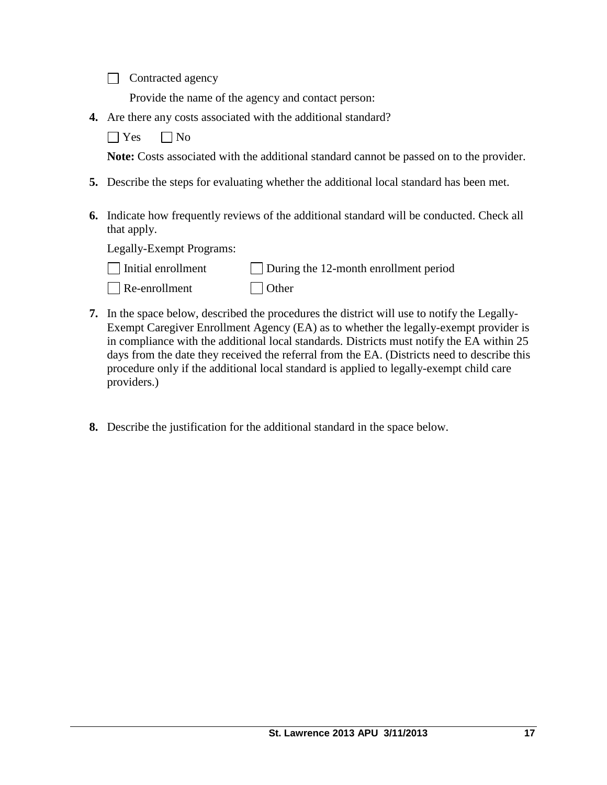Contracted agency

Provide the name of the agency and contact person:

**4.** Are there any costs associated with the additional standard?

 $\Box$  Yes  $\Box$  No

**Note:** Costs associated with the additional standard cannot be passed on to the provider.

- **5.** Describe the steps for evaluating whether the additional local standard has been met.
- **6.** Indicate how frequently reviews of the additional standard will be conducted. Check all that apply.

Legally-Exempt Programs:

| $\Box$ Initial enrollment | $\Box$ During the 12-month enrollment period |
|---------------------------|----------------------------------------------|
| $\Box$ Re-enrollment      | $\Box$ Other                                 |

- **7.** In the space below, described the procedures the district will use to notify the Legally-Exempt Caregiver Enrollment Agency (EA) as to whether the legally-exempt provider is in compliance with the additional local standards. Districts must notify the EA within 25 days from the date they received the referral from the EA. (Districts need to describe this procedure only if the additional local standard is applied to legally-exempt child care providers.)
- **8.** Describe the justification for the additional standard in the space below.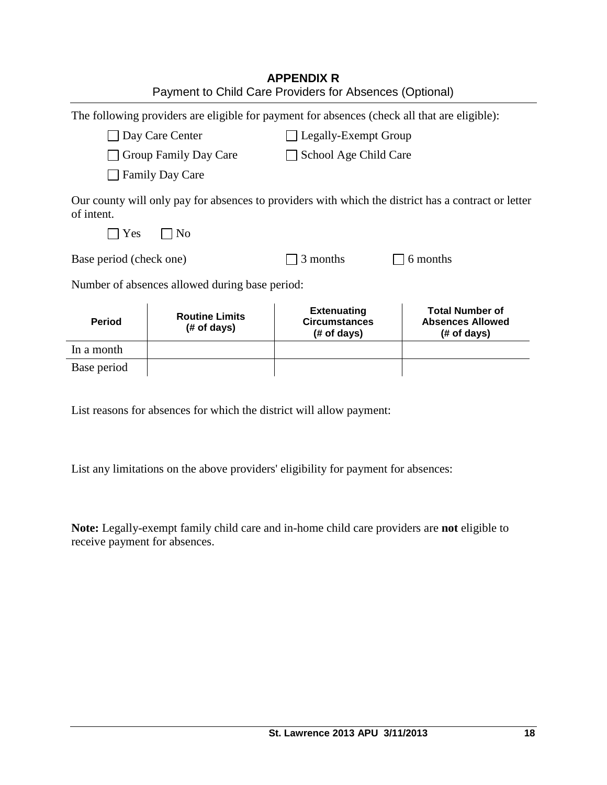|                         |                                                | <b>APPENDIX R</b><br>Payment to Child Care Providers for Absences (Optional)                 |                                                                                                     |  |
|-------------------------|------------------------------------------------|----------------------------------------------------------------------------------------------|-----------------------------------------------------------------------------------------------------|--|
|                         |                                                | The following providers are eligible for payment for absences (check all that are eligible): |                                                                                                     |  |
|                         | Day Care Center                                | Legally-Exempt Group                                                                         |                                                                                                     |  |
|                         | Group Family Day Care                          | School Age Child Care                                                                        |                                                                                                     |  |
|                         | <b>Family Day Care</b>                         |                                                                                              |                                                                                                     |  |
| of intent.<br>Yes       | N <sub>0</sub>                                 |                                                                                              | Our county will only pay for absences to providers with which the district has a contract or letter |  |
| Base period (check one) |                                                | 3 months                                                                                     | 6 months                                                                                            |  |
|                         | Number of absences allowed during base period: |                                                                                              |                                                                                                     |  |
| <b>Period</b>           | <b>Routine Limits</b><br>(# of days)           | <b>Extenuating</b><br><b>Circumstances</b><br>(# of days)                                    | <b>Total Number of</b><br><b>Absences Allowed</b><br>(# of days)                                    |  |
| In a month              |                                                |                                                                                              |                                                                                                     |  |
| Base period             |                                                |                                                                                              |                                                                                                     |  |

List reasons for absences for which the district will allow payment:

List any limitations on the above providers' eligibility for payment for absences:

**Note:** Legally-exempt family child care and in-home child care providers are **not** eligible to receive payment for absences.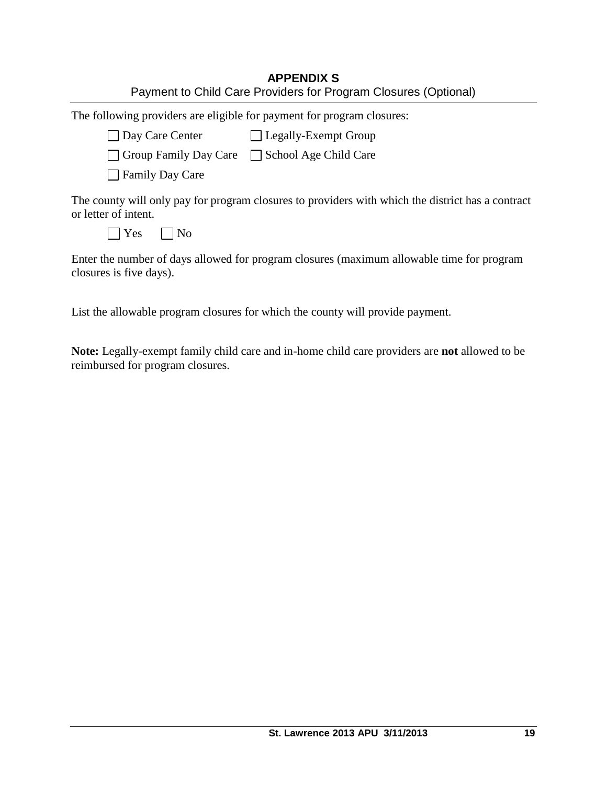| <b>APPENDIX S</b>                                               |
|-----------------------------------------------------------------|
| Payment to Child Care Providers for Program Closures (Optional) |

The following providers are eligible for payment for program closures:

| □ Day Care Center<br>□ Legally-Exempt Group |
|---------------------------------------------|
|---------------------------------------------|

| Group Family Day Care | School Age Child Care |
|-----------------------|-----------------------|
|-----------------------|-----------------------|

**□ Family Day Care** 

The county will only pay for program closures to providers with which the district has a contract or letter of intent.

|  | ⌒ |
|--|---|
|  |   |

Enter the number of days allowed for program closures (maximum allowable time for program closures is five days).

List the allowable program closures for which the county will provide payment.

**Note:** Legally-exempt family child care and in-home child care providers are **not** allowed to be reimbursed for program closures.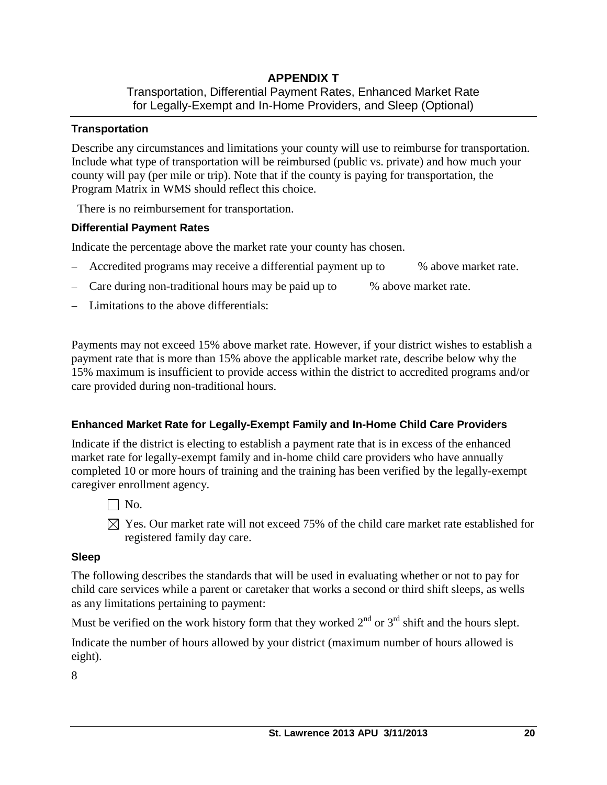### **APPENDIX T**  Transportation, Differential Payment Rates, Enhanced Market Rate for Legally-Exempt and In-Home Providers, and Sleep (Optional)

### **Transportation**

Describe any circumstances and limitations your county will use to reimburse for transportation. Include what type of transportation will be reimbursed (public vs. private) and how much your county will pay (per mile or trip). Note that if the county is paying for transportation, the Program Matrix in WMS should reflect this choice.

There is no reimbursement for transportation.

## **Differential Payment Rates**

Indicate the percentage above the market rate your county has chosen.

- Accredited programs may receive a differential payment up to  $\%$  above market rate.
- Care during non-traditional hours may be paid up to % above market rate.
- Limitations to the above differentials:

Payments may not exceed 15% above market rate. However, if your district wishes to establish a payment rate that is more than 15% above the applicable market rate, describe below why the 15% maximum is insufficient to provide access within the district to accredited programs and/or care provided during non-traditional hours.

## **Enhanced Market Rate for Legally-Exempt Family and In-Home Child Care Providers**

Indicate if the district is electing to establish a payment rate that is in excess of the enhanced market rate for legally-exempt family and in-home child care providers who have annually completed 10 or more hours of training and the training has been verified by the legally-exempt caregiver enrollment agency.

- $\Box$  No.
- $\boxtimes$  Yes. Our market rate will not exceed 75% of the child care market rate established for registered family day care.

#### **Sleep**

The following describes the standards that will be used in evaluating whether or not to pay for child care services while a parent or caretaker that works a second or third shift sleeps, as wells as any limitations pertaining to payment:

Must be verified on the work history form that they worked  $2<sup>nd</sup>$  or  $3<sup>rd</sup>$  shift and the hours slept.

Indicate the number of hours allowed by your district (maximum number of hours allowed is eight).

8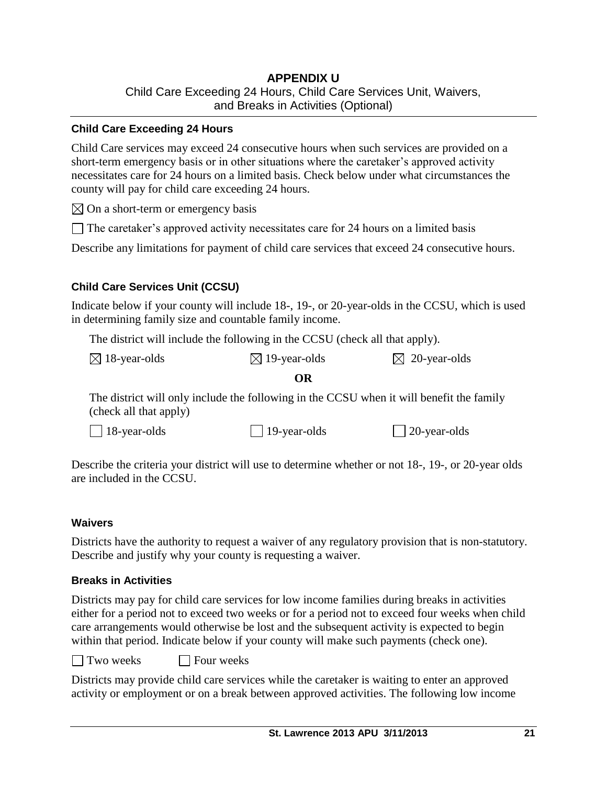## **APPENDIX U** Child Care Exceeding 24 Hours, Child Care Services Unit, Waivers, and Breaks in Activities (Optional)

### **Child Care Exceeding 24 Hours**

Child Care services may exceed 24 consecutive hours when such services are provided on a short-term emergency basis or in other situations where the caretaker's approved activity necessitates care for 24 hours on a limited basis. Check below under what circumstances the county will pay for child care exceeding 24 hours.

 $\boxtimes$  On a short-term or emergency basis

 $\Box$  The caretaker's approved activity necessitates care for 24 hours on a limited basis

Describe any limitations for payment of child care services that exceed 24 consecutive hours.

## **Child Care Services Unit (CCSU)**

Indicate below if your county will include 18-, 19-, or 20-year-olds in the CCSU, which is used in determining family size and countable family income.

The district will include the following in the CCSU (check all that apply).

| $\boxtimes$ 18-year-olds | $\boxtimes$ 19-year-olds | $\boxtimes$ 20-year-olds |
|--------------------------|--------------------------|--------------------------|
|--------------------------|--------------------------|--------------------------|

#### **OR**

The district will only include the following in the CCSU when it will benefit the family (check all that apply)

| $\Box$ 18-year-olds | $\Box$ 19-year-olds | $\Box$ 20-year-olds |
|---------------------|---------------------|---------------------|
|---------------------|---------------------|---------------------|

Describe the criteria your district will use to determine whether or not 18-, 19-, or 20-year olds are included in the CCSU.

#### **Waivers**

Districts have the authority to request a waiver of any regulatory provision that is non-statutory. Describe and justify why your county is requesting a waiver.

#### **Breaks in Activities**

Districts may pay for child care services for low income families during breaks in activities either for a period not to exceed two weeks or for a period not to exceed four weeks when child care arrangements would otherwise be lost and the subsequent activity is expected to begin within that period. Indicate below if your county will make such payments (check one).

 $\Box$  Two weeks  $\Box$  Four weeks

Districts may provide child care services while the caretaker is waiting to enter an approved activity or employment or on a break between approved activities. The following low income